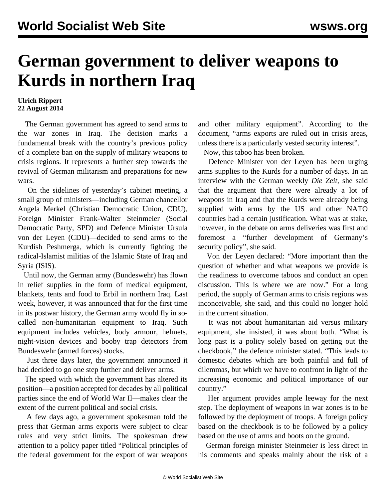## **German government to deliver weapons to Kurds in northern Iraq**

## **Ulrich Rippert 22 August 2014**

 The German government has agreed to send arms to the war zones in Iraq. The decision marks a fundamental break with the country's previous policy of a complete ban on the supply of military weapons to crisis regions. It represents a further step towards the revival of German militarism and preparations for new wars.

 On the sidelines of yesterday's cabinet meeting, a small group of ministers—including German chancellor Angela Merkel (Christian Democratic Union, CDU), Foreign Minister Frank-Walter Steinmeier (Social Democratic Party, SPD) and Defence Minister Ursula von der Leyen (CDU)—decided to send arms to the Kurdish Peshmerga, which is currently fighting the radical-Islamist militias of the Islamic State of Iraq and Syria (ISIS).

 Until now, the German army (Bundeswehr) has flown in relief supplies in the form of medical equipment, blankets, tents and food to Erbil in northern Iraq. Last week, however, it was announced that for the first time in its postwar history, the German army would fly in socalled non-humanitarian equipment to Iraq. Such equipment includes vehicles, body armour, helmets, night-vision devices and booby trap detectors from Bundeswehr (armed forces) stocks.

 Just three days later, the government announced it had decided to go one step further and deliver arms.

 The speed with which the government has altered its position—a position accepted for decades by all political parties since the end of World War II—makes clear the extent of the current political and social crisis.

 A few days ago, a government spokesman told the press that German arms exports were subject to clear rules and very strict limits. The spokesman drew attention to a policy paper titled "Political principles of the federal government for the export of war weapons and other military equipment". According to the document, "arms exports are ruled out in crisis areas, unless there is a particularly vested security interest".

Now, this taboo has been broken.

 Defence Minister von der Leyen has been urging arms supplies to the Kurds for a number of days. In an interview with the German weekly *Die Zeit,* she said that the argument that there were already a lot of weapons in Iraq and that the Kurds were already being supplied with arms by the US and other NATO countries had a certain justification. What was at stake, however, in the debate on arms deliveries was first and foremost a "further development of Germany's security policy", she said.

 Von der Leyen declared: "More important than the question of whether and what weapons we provide is the readiness to overcome taboos and conduct an open discussion. This is where we are now." For a long period, the supply of German arms to crisis regions was inconceivable, she said, and this could no longer hold in the current situation.

 It was not about humanitarian aid versus military equipment, she insisted, it was about both. "What is long past is a policy solely based on getting out the checkbook," the defence minister stated. "This leads to domestic debates which are both painful and full of dilemmas, but which we have to confront in light of the increasing economic and political importance of our country."

 Her argument provides ample leeway for the next step. The deployment of weapons in war zones is to be followed by the deployment of troops. A foreign policy based on the checkbook is to be followed by a policy based on the use of arms and boots on the ground.

 German foreign minister Steinmeier is less direct in his comments and speaks mainly about the risk of a